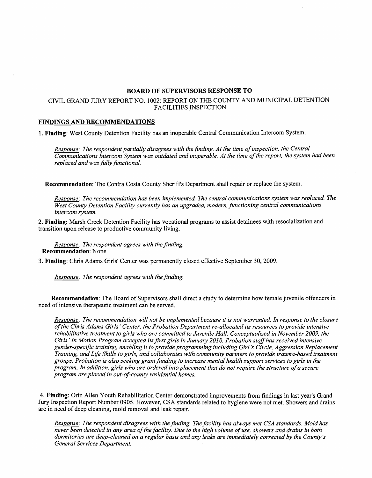## **BOARD OF SUPERVISORS RESPONSE TO**

## CNIL GRAND **JURY** REPORT NO. **1002:** REPORT ON **THE** COUNTY AND MUNICIPAL DETENTION FACILITIES INSPECTION

## **FINDINGS AND RECOMMENDATIONS**

**1. Finding:** West County Detention Facility has an inoperable Central Communication Intercom System.

*Response: The respondent partially disagrees with the finding. At the time of inspection, the Central Communications Intercom System was outdated and inoperable. At the time of the report, the system had been replaced and was filly functional.* 

**Recommendation:** The Contra Costa County Sheriffs Department shall repair or replace the system.

Response: The recommendation has been implemented. The central communications system was replaced. The *West County Detention Facility currently has an upgraded, modern, functioning central communications intercom system.* 

**2. Finding:** Marsh Creek Detention Facility has vocational programs to assist detainees with resocialization and transition upon release to productive community living.

*Response: The respondent agrees with the finding.*  **Recommendation:** None

**3. Finding:** Chris Adams Girls' Center was permanently closed effective September **30,2009.** 

*Response: The respondent agrees with the finding.* 

**Recommendation:** The Board of Supervisors shall direct a study to determine how female juvenile offenders in need of intensive therapeutic treatment can be served.

*Response: The recommendation will not be implemented because it is not warranted. In response to the closure of the Chris Adams Girls' Center, the Probation Department re-allocated its resources to provide intensive rehabilitative treatment to girls who are committed to Jwenile Hall. Conceptualized in November 2009, the*  Girls' In Motion Program accepted its first girls in January 2010. Probation staff has received intensive *gender-speczfic training, enabling it to provide programming including Girl's Circle, Aggression Replacement Training, and Life Skills to girls, and collaborates with community partners to provide trauma-based treatment groups. Probation is also seeking grant funding to increase mental health support services to girls in the program. In addition, girls who are ordered into placement that do not require the structure of a secure program are placed in out-of-county residential homes.* 

**4. Finding:** Orin Allen Youth Rehabilitation Center demonstrated improvements from findings in last year's Grand Jury Inspection Report Number **0905.** However, CSA standards related to hygiene were not met. Showers and drains are in need of deep cleaning, mold removal and leak repair.

*Response: The respondent disagrees with the finding. The facility has always met CSA standards. Mold has never been detected in any area of the facility. Due to the high volume of use, showers and drains in both dormitories are deep-cleaned on a regular basis and any leaks are immediately corrected by the County's General Services Department.*